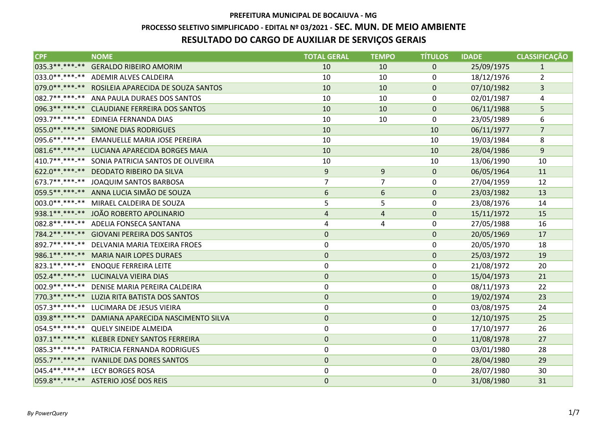### **PROCESSO SELETIVO SIMPLIFICADO - EDITAL Nº 03/2021 - SEC. MUN. DE MEIO AMBIENTE**

# **RESULTADO DO CARGO DE AUXILIAR DE SERVIÇOS GERAIS**

| <b>CPF</b>     | <b>NOME</b>                                       | <b>TOTAL GERAL</b> | <b>TEMPO</b>   | <b>TÍTULOS</b> | <b>IDADE</b> | <b>CLASSIFICAÇÃO</b> |
|----------------|---------------------------------------------------|--------------------|----------------|----------------|--------------|----------------------|
| 035.3**.***-** | <b>GERALDO RIBEIRO AMORIM</b>                     | 10                 | 10             | $\mathbf 0$    | 25/09/1975   | $\mathbf{1}$         |
|                | 033.0**.***-** ADEMIR ALVES CALDEIRA              | 10                 | 10             | $\mathbf{0}$   | 18/12/1976   | $\overline{2}$       |
|                | 079.0**.***-** ROSILEIA APARECIDA DE SOUZA SANTOS | 10                 | 10             | $\mathbf 0$    | 07/10/1982   | 3                    |
|                | 082.7**.***-** ANA PAULA DURAES DOS SANTOS        | 10                 | 10             | 0              | 02/01/1987   | 4                    |
|                | 096.3**.***-** CLAUDIANE FERREIRA DOS SANTOS      | 10                 | 10             | $\mathbf 0$    | 06/11/1988   | 5                    |
|                | 093.7**.***-** EDINEIA FERNANDA DIAS              | 10                 | 10             | $\mathbf{0}$   | 23/05/1989   | 6                    |
|                | 055.0**.***-** SIMONE DIAS RODRIGUES              | 10                 |                | 10             | 06/11/1977   | $\overline{7}$       |
|                | 095.6 **. ***-** EMANUELLE MARIA JOSE PEREIRA     | 10                 |                | 10             | 19/03/1984   | 8                    |
|                | 081.6 **. ***- ** LUCIANA APARECIDA BORGES MAIA   | 10                 |                | 10             | 28/04/1986   | 9                    |
|                | 410.7**.***-** SONIA PATRICIA SANTOS DE OLIVEIRA  | 10                 |                | 10             | 13/06/1990   | 10                   |
|                | 622.0**.***-** DEODATO RIBEIRO DA SILVA           | $9\,$              | 9              | $\mathbf{0}$   | 06/05/1964   | 11                   |
|                | 673.7**.***-** JOAQUIM SANTOS BARBOSA             | $\overline{7}$     | $\overline{7}$ | 0              | 27/04/1959   | 12                   |
|                | 059.5**.***-** ANNA LUCIA SIMÃO DE SOUZA          | 6                  | 6              | $\mathbf{0}$   | 23/03/1982   | 13                   |
|                | 003.0**.***-** MIRAEL CALDEIRA DE SOUZA           | 5                  | 5              | 0              | 23/08/1976   | 14                   |
|                | 938.1**.***-** JOÃO ROBERTO APOLINARIO            | $\sqrt{4}$         | 4              | $\mathbf 0$    | 15/11/1972   | 15                   |
|                | 082.8**.***-** ADELIA FONSECA SANTANA             | 4                  | 4              | $\mathbf{0}$   | 27/05/1988   | 16                   |
|                | 784.2**.***-** GIOVANI PEREIRA DOS SANTOS         | $\boldsymbol{0}$   |                | $\mathbf 0$    | 20/05/1969   | 17                   |
|                | 892.7**.***-** DELVANIA MARIA TEIXEIRA FROES      | $\mathbf 0$        |                | $\mathbf{0}$   | 20/05/1970   | 18                   |
|                | 986.1**.***-** MARIA NAIR LOPES DURAES            | $\mathbf 0$        |                | $\mathbf 0$    | 25/03/1972   | 19                   |
|                | 823.1**.***-** ENOQUE FERREIRA LEITE              | $\boldsymbol{0}$   |                | $\mathbf 0$    | 21/08/1972   | 20                   |
|                | 052.4**.***-** LUCINALVA VIEIRA DIAS              | $\pmb{0}$          |                | $\pmb{0}$      | 15/04/1973   | 21                   |
|                | 002.9 **. ***- ** DENISE MARIA PEREIRA CALDEIRA   | $\boldsymbol{0}$   |                | 0              | 08/11/1973   | 22                   |
|                | 770.3**.***-** LUZIA RITA BATISTA DOS SANTOS      | $\mathbf 0$        |                | $\mathbf 0$    | 19/02/1974   | 23                   |
|                | 057.3 **. ***-** LUCIMARA DE JESUS VIEIRA         | $\boldsymbol{0}$   |                | 0              | 03/08/1975   | 24                   |
|                | 039.8**.***-** DAMIANA APARECIDA NASCIMENTO SILVA | $\mathbf 0$        |                | $\mathbf{0}$   | 12/10/1975   | 25                   |
|                | 054.5**.***-** QUELY SINEIDE ALMEIDA              | $\boldsymbol{0}$   |                | $\mathbf 0$    | 17/10/1977   | 26                   |
|                | 037.1**.***-** KLEBER EDNEY SANTOS FERREIRA       | $\mathbf 0$        |                | $\mathbf 0$    | 11/08/1978   | 27                   |
|                | 085.3 **. ***-** PATRICIA FERNANDA RODRIGUES      | $\mathbf 0$        |                | 0              | 03/01/1980   | 28                   |
|                | 055.7**.***-** IVANILDE DAS DORES SANTOS          | $\mathbf 0$        |                | $\mathbf 0$    | 28/04/1980   | 29                   |
|                | 045.4**.***-** LECY BORGES ROSA                   | 0                  |                | 0              | 28/07/1980   | 30                   |
|                | 059.8**.***-** ASTERIO JOSÉ DOS REIS              | $\mathbf 0$        |                | $\mathbf 0$    | 31/08/1980   | 31                   |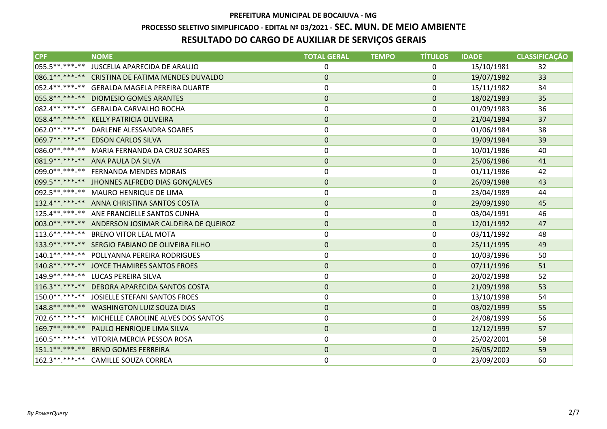### **PROCESSO SELETIVO SIMPLIFICADO - EDITAL Nº 03/2021 - SEC. MUN. DE MEIO AMBIENTE**

# **RESULTADO DO CARGO DE AUXILIAR DE SERVIÇOS GERAIS**

| $\overline{\textsf{CPE}}$ | <b>NOME</b>                                            | <b>TOTAL GERAL</b> | <b>TEMPO</b> | <b>TÍTULOS</b> | <b>IDADE</b> | <b>CLASSIFICAÇÃO</b> |
|---------------------------|--------------------------------------------------------|--------------------|--------------|----------------|--------------|----------------------|
| 055.5**.***-**            | JUSCELIA APARECIDA DE ARAUJO                           | 0                  |              | 0              | 15/10/1981   | 32                   |
|                           | 086.1**.***-** CRISTINA DE FATIMA MENDES DUVALDO       | $\mathbf 0$        |              | $\mathbf 0$    | 19/07/1982   | 33                   |
|                           | 052.4**.***-** GERALDA MAGELA PEREIRA DUARTE           | 0                  |              | $\mathbf{0}$   | 15/11/1982   | 34                   |
|                           | 055.8 ** .*** -** DIOMESIO GOMES ARANTES               | $\mathbf 0$        |              | $\mathbf 0$    | 18/02/1983   | 35                   |
|                           | 082.4 **. ***-** GERALDA CARVALHO ROCHA                | 0                  |              | 0              | 01/09/1983   | 36                   |
| 058.4**.***-**            | KELLY PATRICIA OLIVEIRA                                | $\pmb{0}$          |              | $\mathbf 0$    | 21/04/1984   | 37                   |
|                           | 062.0**.***-** DARLENE ALESSANDRA SOARES               | 0                  |              | 0              | 01/06/1984   | 38                   |
|                           | 069.7**.***-** EDSON CARLOS SILVA                      | $\pmb{0}$          |              | $\mathbf 0$    | 19/09/1984   | 39                   |
|                           | 086.0**.***-** MARIA FERNANDA DA CRUZ SOARES           | 0                  |              | 0              | 10/01/1986   | 40                   |
|                           | 081.9 ** .*** -** ANA PAULA DA SILVA                   | $\pmb{0}$          |              | $\pmb{0}$      | 25/06/1986   | 41                   |
|                           | 099.0**.***-** FERNANDA MENDES MORAIS                  | 0                  |              | 0              | 01/11/1986   | 42                   |
|                           | 099.5**.***-** JHONNES ALFREDO DIAS GONÇALVES          | $\pmb{0}$          |              | $\mathbf 0$    | 26/09/1988   | 43                   |
|                           | 092.5 **. ***-** MAURO HENRIQUE DE LIMA                | 0                  |              | 0              | 23/04/1989   | 44                   |
|                           | 132.4**.***-** ANNA CHRISTINA SANTOS COSTA             | $\pmb{0}$          |              | $\mathbf 0$    | 29/09/1990   | 45                   |
|                           | 125.4**.***-** ANE FRANCIELLE SANTOS CUNHA             | 0                  |              | 0              | 03/04/1991   | 46                   |
|                           | 003.0 **. ***- ** ANDERSON JOSIMAR CALDEIRA DE QUEIROZ | $\mathbf 0$        |              | $\mathbf{0}$   | 12/01/1992   | 47                   |
|                           | 113.6**.***-** BRENO VITOR LEAL MOTA                   | 0                  |              | 0              | 03/11/1992   | 48                   |
|                           | 133.9 **. ***- ** SERGIO FABIANO DE OLIVEIRA FILHO     | $\mathbf 0$        |              | $\mathbf 0$    | 25/11/1995   | 49                   |
| $140.1******$             | POLLYANNA PEREIRA RODRIGUES                            | 0                  |              | 0              | 10/03/1996   | 50                   |
|                           | 140.8**.***-** JOYCE THAMIRES SANTOS FROES             | $\mathbf 0$        |              | $\mathbf 0$    | 07/11/1996   | 51                   |
|                           | 149.9 **. ***- ** LUCAS PEREIRA SILVA                  | 0                  |              | 0              | 20/02/1998   | 52                   |
|                           | 116.3**.***-** DEBORA APARECIDA SANTOS COSTA           | $\mathbf 0$        |              | $\mathbf 0$    | 21/09/1998   | 53                   |
| 150.0**.***-**            | JOSIELLE STEFANI SANTOS FROES                          | 0                  |              | 0              | 13/10/1998   | 54                   |
|                           | 148.8**.***-** WASHINGTON LUIZ SOUZA DIAS              | $\pmb{0}$          |              | $\mathbf 0$    | 03/02/1999   | 55                   |
| 702.6**.***-**            | MICHELLE CAROLINE ALVES DOS SANTOS                     | 0                  |              | 0              | 24/08/1999   | 56                   |
| 169.7**.***-**            | PAULO HENRIQUE LIMA SILVA                              | $\pmb{0}$          |              | $\mathbf 0$    | 12/12/1999   | 57                   |
|                           | 160.5**.***-** VITORIA MERCIA PESSOA ROSA              | 0                  |              | 0              | 25/02/2001   | 58                   |
| $151.1******$             | <b>BRNO GOMES FERREIRA</b>                             | $\mathbf 0$        |              | $\mathbf 0$    | 26/05/2002   | 59                   |
|                           | 162.3**.***-** CAMILLE SOUZA CORREA                    | 0                  |              | 0              | 23/09/2003   | 60                   |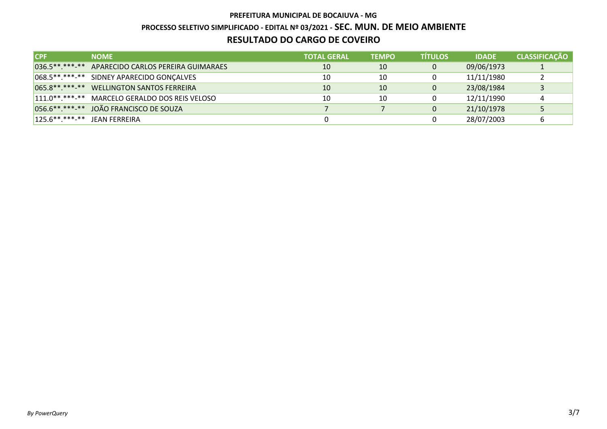**PROCESSO SELETIVO SIMPLIFICADO - EDITAL Nº 03/2021 - SEC. MUN. DE MEIO AMBIENTE**

## **RESULTADO DO CARGO DE COVEIRO**

| <b>ICPF</b>                  | <b>NOME</b>                                       | <b>TOTAL GERAL</b> | <b>TEMPO</b> | <b>TITULOS</b> | <b>IDADE</b> | <b>CLASSIFICAÇÃO</b> |
|------------------------------|---------------------------------------------------|--------------------|--------------|----------------|--------------|----------------------|
|                              | 036.5**.***-** APARECIDO CARLOS PEREIRA GUIMARAES | 10                 | 10           | 0              | 09/06/1973   |                      |
|                              | 068.5**.***-** SIDNEY APARECIDO GONÇALVES         | 10                 | 10           |                | 11/11/1980   |                      |
|                              | 065.8**.***-** WELLINGTON SANTOS FERREIRA         | 10                 | 10           | $\mathbf{0}$   | 23/08/1984   |                      |
|                              | 111.0 **. ***- ** MARCELO GERALDO DOS REIS VELOSO | 10                 | 10           | 0              | 12/11/1990   | 4                    |
|                              | 056.6**.***-** JOÃO FRANCISCO DE SOUZA            |                    |              | 0              | 21/10/1978   |                      |
| 125.6**.***-** JEAN FERREIRA |                                                   |                    |              |                | 28/07/2003   | b                    |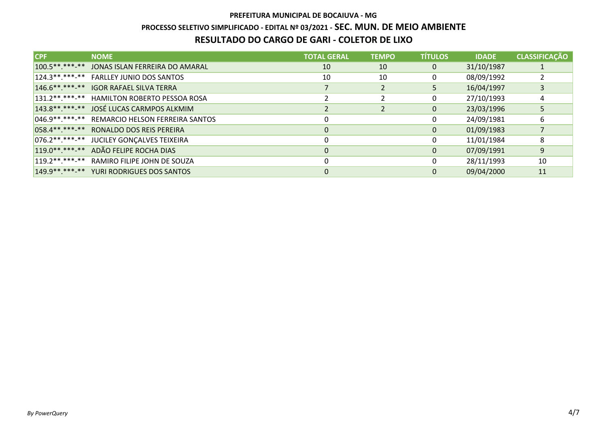### **PROCESSO SELETIVO SIMPLIFICADO - EDITAL Nº 03/2021 - SEC. MUN. DE MEIO AMBIENTE**

## **RESULTADO DO CARGO DE GARI - COLETOR DE LIXO**

| ICPF.           | <b>NOME</b>                                    | <b>TOTAL GERAL</b> | <b>TEMPO</b>   | <b>TÍTULOS</b> | <b>IDADE</b> | <b>CLASSIFICAÇÃO</b> |
|-----------------|------------------------------------------------|--------------------|----------------|----------------|--------------|----------------------|
| $100.5******-*$ | JONAS ISLAN FERREIRA DO AMARAL                 | 10                 | 10             | 0              | 31/10/1987   |                      |
|                 | 124.3**.***-** FARLLEY JUNIO DOS SANTOS        | 10                 | 10             | 0              | 08/09/1992   |                      |
|                 | 146.6**.***-** IGOR RAFAEL SILVA TERRA         |                    | $\overline{2}$ | 5              | 16/04/1997   | 3                    |
|                 | 131.2**.***-** HAMILTON ROBERTO PESSOA ROSA    |                    |                | 0              | 27/10/1993   | 4                    |
|                 | 143.8**.***-** JOSÉ LUCAS CARMPOS ALKMIM       |                    |                | $\mathbf 0$    | 23/03/1996   | 5                    |
|                 | 046.9**.***-** REMARCIO HELSON FERREIRA SANTOS |                    |                | 0              | 24/09/1981   | 6                    |
|                 | 058.4**.***-** RONALDO DOS REIS PEREIRA        |                    |                | 0              | 01/09/1983   |                      |
|                 | 076.2**.***-** JUCILEY GONÇALVES TEIXEIRA      |                    |                | 0              | 11/01/1984   | 8                    |
|                 | 119.0**.***-** ADÃO FELIPE ROCHA DIAS          | 0                  |                | 0              | 07/09/1991   | 9                    |
|                 | 119.2**.***-** RAMIRO FILIPE JOHN DE SOUZA     |                    |                | $\mathbf{0}$   | 28/11/1993   | 10                   |
|                 | 149.9**.***-** YURI RODRIGUES DOS SANTOS       | 0                  |                | $\mathbf{0}$   | 09/04/2000   | 11                   |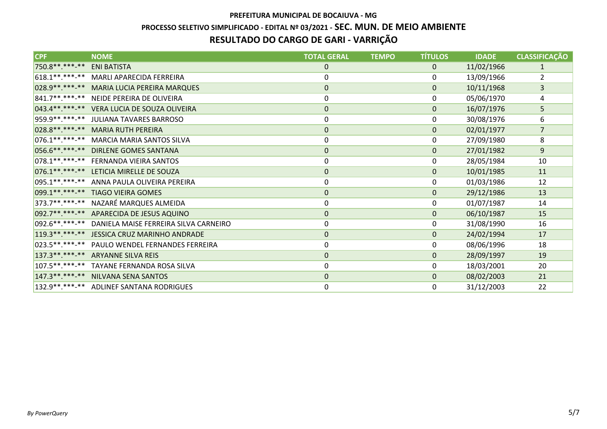# **PREFEITURA MUNICIPAL DE BOCAIUVA - MG PROCESSO SELETIVO SIMPLIFICADO - EDITAL Nº 03/2021 - SEC. MUN. DE MEIO AMBIENTERESULTADO DO CARGO DE GARI - VARRIÇÃO**

| <b>CPF</b>       | <b>NOME</b>                                          | <b>TOTAL GERAL</b> | <b>TEMPO</b> | <b>TÍTULOS</b> | <b>IDADE</b> | <b>CLASSIFICAÇÃO</b> |
|------------------|------------------------------------------------------|--------------------|--------------|----------------|--------------|----------------------|
| 750.8**.***-**   | <b>ENI BATISTA</b>                                   | 0                  |              | 0              | 11/02/1966   | $\mathbf{1}$         |
|                  | 618.1**.***-** MARLI APARECIDA FERREIRA              | 0                  |              | 0              | 13/09/1966   | $\overline{2}$       |
|                  | 028.9 ** .***-** MARIA LUCIA PEREIRA MARQUES         | 0                  |              | $\mathbf 0$    | 10/11/1968   | 3                    |
|                  | 841.7**.***-** NEIDE PEREIRA DE OLIVEIRA             | 0                  |              | 0              | 05/06/1970   | 4                    |
|                  | 043.4**.***-** VERA LUCIA DE SOUZA OLIVEIRA          | $\mathbf 0$        |              | $\mathbf{0}$   | 16/07/1976   | 5                    |
|                  | 959.9**.***-** JULIANA TAVARES BARROSO               | 0                  |              | 0              | 30/08/1976   | 6                    |
|                  | 028.8**.***-** MARIA RUTH PEREIRA                    | 0                  |              | $\pmb{0}$      | 02/01/1977   | $\overline{7}$       |
| $076.1******$    | <b>MARCIA MARIA SANTOS SILVA</b>                     | $\pmb{0}$          |              | 0              | 27/09/1980   | 8                    |
|                  | 056.6**.***-** DIRLENE GOMES SANTANA                 | $\mathbf{0}$       |              | $\mathbf{0}$   | 27/01/1982   | $9\,$                |
|                  | 078.1**.***-** FERNANDA VIEIRA SANTOS                | 0                  |              | 0              | 28/05/1984   | 10                   |
|                  | 076.1**.***-** LETICIA MIRELLE DE SOUZA              | $\mathbf{0}$       |              | $\Omega$       | 10/01/1985   | 11                   |
|                  | 095.1**.***-** ANNA PAULA OLIVEIRA PEREIRA           | $\pmb{0}$          |              | 0              | 01/03/1986   | 12                   |
|                  | 099.1**.***-** TIAGO VIEIRA GOMES                    | 0                  |              | $\mathbf 0$    | 29/12/1986   | 13                   |
|                  | 373.7**.***-** NAZARÉ MARQUES ALMEIDA                | 0                  |              | 0              | 01/07/1987   | 14                   |
|                  | 092.7**.***-** APARECIDA DE JESUS AQUINO             | $\mathbf 0$        |              | $\mathbf 0$    | 06/10/1987   | 15                   |
|                  | 092.6**.***-** DANIELA MAISE FERREIRA SILVA CARNEIRO | 0                  |              | 0              | 31/08/1990   | 16                   |
|                  | 119.3**.***-** JESSICA CRUZ MARINHO ANDRADE          | 0                  |              | $\pmb{0}$      | 24/02/1994   | 17                   |
| 023.5 ** *** -** | PAULO WENDEL FERNANDES FERREIRA                      | 0                  |              | 0              | 08/06/1996   | 18                   |
|                  | 137.3**.***-** ARYANNE SILVA REIS                    | $\mathbf 0$        |              | $\mathbf{0}$   | 28/09/1997   | 19                   |
|                  | 107.5**.***-** TAYANE FERNANDA ROSA SILVA            | 0                  |              | 0              | 18/03/2001   | 20                   |
|                  | 147.3**.***-** NILVANA SENA SANTOS                   | 0                  |              | $\mathbf 0$    | 08/02/2003   | 21                   |
|                  | 132.9**.***-** ADLINEF SANTANA RODRIGUES             | 0                  |              | 0              | 31/12/2003   | 22                   |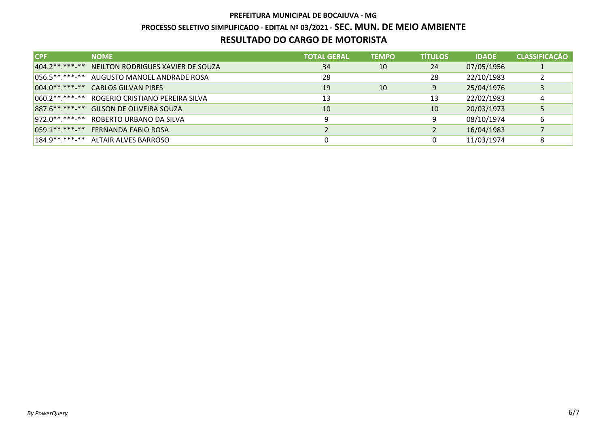# **PREFEITURA MUNICIPAL DE BOCAIUVA - MG PROCESSO SELETIVO SIMPLIFICADO - EDITAL Nº 03/2021 - SEC. MUN. DE MEIO AMBIENTERESULTADO DO CARGO DE MOTORISTA**

| <b>ICPF</b> | <b>NOME</b>                                         | <b>TOTAL GERAL</b> | <b>TEMPO</b> | <b>TITULOS</b> | <b>IDADE</b> | <b>CLASSIFICAÇÃO</b> |
|-------------|-----------------------------------------------------|--------------------|--------------|----------------|--------------|----------------------|
|             | 404.2 **. *** -** NEILTON RODRIGUES XAVIER DE SOUZA | 34                 | 10           | 24             | 07/05/1956   | л.                   |
|             | 056.5**.***-** AUGUSTO MANOEL ANDRADE ROSA          | 28                 |              | 28             | 22/10/1983   |                      |
|             | 004.0**.***-** CARLOS GILVAN PIRES                  | 19                 | 10           | 9              | 25/04/1976   | 3                    |
|             | 060.2**.***-** ROGERIO CRISTIANO PEREIRA SILVA      | 13                 |              | 13             | 22/02/1983   | 4                    |
|             | 887.6**.***-** GILSON DE OLIVEIRA SOUZA             | 10                 |              | 10             | 20/03/1973   | 5                    |
|             | 972.0**.***-** ROBERTO URBANO DA SILVA              | 9                  |              | 9              | 08/10/1974   | 6                    |
|             | 059.1**.***-** FERNANDA FABIO ROSA                  |                    |              |                | 16/04/1983   |                      |
|             | 184.9 ** .** * * * ALTAIR ALVES BARROSO             |                    |              | 0              | 11/03/1974   | 8                    |